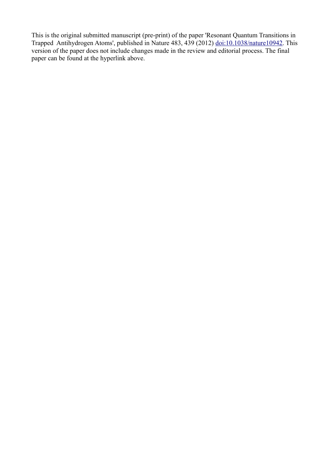This is the original submitted manuscript (pre-print) of the paper 'Resonant Quantum Transitions in Trapped Antihydrogen Atoms', published in Nature 483, 439 (2012) [doi:10.1038/nature10942.](http://dx.doi.org/10.1038/nature10942) This version of the paper does not include changes made in the review and editorial process. The final paper can be found at the hyperlink above.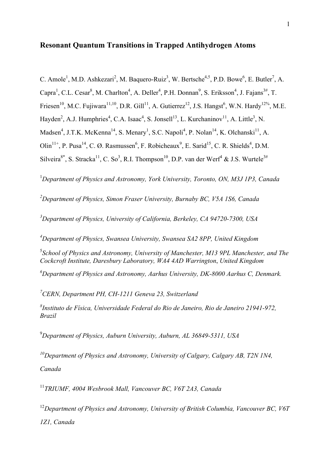## **Resonant Quantum Transitions in Trapped Antihydrogen Atoms**

C. Amole<sup>1</sup>, M.D. Ashkezari<sup>2</sup>, M. Baquero-Ruiz<sup>3</sup>, W. Bertsche<sup>4,5</sup>, P.D. Bowe<sup>6</sup>, E. Butler<sup>7</sup>, A.

Capra<sup>1</sup>, C.L. Cesar<sup>8</sup>, M. Charlton<sup>4</sup>, A. Deller<sup>4</sup>, P.H. Donnan<sup>9</sup>, S. Eriksson<sup>4</sup>, J. Fajans<sup>3#</sup>, T.

Friesen<sup>10</sup>, M.C. Fujiwara<sup>11,10</sup>, D.R. Gill<sup>11</sup>, A. Gutierrez<sup>12</sup>, J.S. Hangst<sup>6</sup>, W.N. Hardy<sup>12%</sup>, M.E.

Hayden<sup>2</sup>, A.J. Humphries<sup>4</sup>, C.A. Isaac<sup>4</sup>, S. Jonsell<sup>13</sup>, L. Kurchaninov<sup>11</sup>, A. Little<sup>3</sup>, N.

Madsen<sup>4</sup>, J.T.K. McKenna<sup>14</sup>, S. Menary<sup>1</sup>, S.C. Napoli<sup>4</sup>, P. Nolan<sup>14</sup>, K. Olchanski<sup>11</sup>, A.

Olin<sup>11+</sup>, P. Pusa<sup>14</sup>, C. Ø. Rasmussen<sup>6</sup>, F. Robicheaux<sup>9</sup>, E. Sarid<sup>15</sup>, C. R. Shields<sup>4</sup>, D.M.

Silveira<sup>8\*</sup>, S. Stracka<sup>11</sup>, C. So<sup>3</sup>, R.I. Thompson<sup>10</sup>, D.P. van der Werf<sup>4</sup> & J.S. Wurtele<sup>3#</sup>

1 *Department of Physics and Astronomy, York University, Toronto, ON, M3J 1P3, Canada*

*2 Department of Physics, Simon Fraser University, Burnaby BC, V5A 1S6, Canada*

*3 Department of Physics, University of California, Berkeley, CA 94720-7300, USA*

*4 Department of Physics, Swansea University, Swansea SA2 8PP, United Kingdom*

5 *School of Physics and Astronomy, University of Manchester, M13 9PL Manchester, and The Cockcroft Institute, Daresbury Laboratory, WA4 4AD Warrington*, *United Kingdom*

*6 Department of Physics and Astronomy, Aarhus University, DK-8000 Aarhus C, Denmark.*

*7 CERN, Department PH, CH-1211 Geneva 23, Switzerland*

*8 Instituto de Física, Universidade Federal do Rio de Janeiro, Rio de Janeiro 21941-972, Brazil*

9 *Department of Physics, Auburn University, Auburn, AL 36849-5311, USA* 

*10Department of Physics and Astronomy, University of Calgary, Calgary AB, T2N 1N4,* 

*Canada*

<sup>11</sup>*TRIUMF, 4004 Wesbrook Mall, Vancouver BC, V6T 2A3, Canada*

<sup>12</sup>*Department of Physics and Astronomy, University of British Columbia, Vancouver BC, V6T* 

*1Z1, Canada*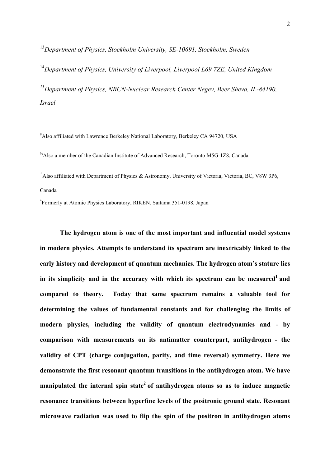<sup>13</sup>*Department of Physics, Stockholm University, SE-10691, Stockholm, Sweden*

<sup>14</sup>*Department of Physics, University of Liverpool, Liverpool L69 7ZE, United Kingdom 15Department of Physics, NRCN-Nuclear Research Center Negev, Beer Sheva, IL-84190, Israel*

# Also affiliated with Lawrence Berkeley National Laboratory, Berkeley CA 94720, USA

%Also a member of the Canadian Institute of Advanced Research, Toronto M5G-1Z8, Canada

+ Also affiliated with Department of Physics & Astronomy, University of Victoria, Victoria, BC, V8W 3P6, Canada

\* Formerly at Atomic Physics Laboratory, RIKEN, Saitama 351-0198, Japan

**The hydrogen atom is one of the most important and influential model systems in modern physics. Attempts to understand its spectrum are inextricably linked to the early history and development of quantum mechanics. The hydrogen atom's stature lies**  in its simplicity and in the accuracy with which its spectrum can be measured<sup>1</sup> and **compared to theory. Today that same spectrum remains a valuable tool for determining the values of fundamental constants and for challenging the limits of modern physics, including the validity of quantum electrodynamics and - by comparison with measurements on its antimatter counterpart, antihydrogen - the validity of CPT (charge conjugation, parity, and time reversal) symmetry. Here we demonstrate the first resonant quantum transitions in the antihydrogen atom. We have**  manipulated the internal spin state<sup>2</sup> of antihydrogen atoms so as to induce magnetic **resonance transitions between hyperfine levels of the positronic ground state. Resonant microwave radiation was used to flip the spin of the positron in antihydrogen atoms**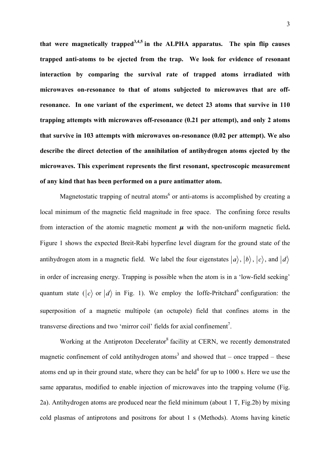**that were magnetically trapped3,4,5 in the ALPHA apparatus. The spin flip causes trapped anti-atoms to be ejected from the trap. We look for evidence of resonant interaction by comparing the survival rate of trapped atoms irradiated with microwaves on-resonance to that of atoms subjected to microwaves that are offresonance. In one variant of the experiment, we detect 23 atoms that survive in 110 trapping attempts with microwaves off-resonance (0.21 per attempt), and only 2 atoms that survive in 103 attempts with microwaves on-resonance (0.02 per attempt). We also describe the direct detection of the annihilation of antihydrogen atoms ejected by the microwaves. This experiment represents the first resonant, spectroscopic measurement of any kind that has been performed on a pure antimatter atom.**

Magnetostatic trapping of neutral atoms<sup>6</sup> or anti-atoms is accomplished by creating a local minimum of the magnetic field magnitude in free space. The confining force results from interaction of the atomic magnetic moment  $\mu$  with the non-uniform magnetic field. Figure 1 shows the expected Breit-Rabi hyperfine level diagram for the ground state of the antihydrogen atom in a magnetic field. We label the four eigenstates  $|a\rangle, |b\rangle, |c\rangle$ , and  $|d\rangle$ in order of increasing energy. Trapping is possible when the atom is in a 'low-field seeking' quantum state ( $|c\rangle$  or  $|d\rangle$  in Fig. 1). We employ the Ioffe-Pritchard<sup>6</sup> configuration: the superposition of a magnetic multipole (an octupole) field that confines atoms in the transverse directions and two 'mirror coil' fields for axial confinement<sup>7</sup>.

Working at the Antiproton Decelerator<sup>8</sup> facility at CERN, we recently demonstrated magnetic confinement of cold antihydrogen atoms<sup>3</sup> and showed that – once trapped – these atoms end up in their ground state, where they can be held<sup>4</sup> for up to 1000 s. Here we use the same apparatus, modified to enable injection of microwaves into the trapping volume (Fig. 2a). Antihydrogen atoms are produced near the field minimum (about 1 T, Fig.2b) by mixing cold plasmas of antiprotons and positrons for about 1 s (Methods). Atoms having kinetic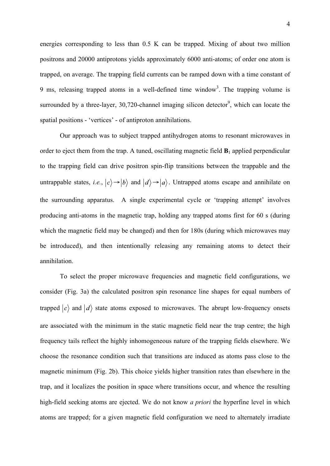energies corresponding to less than 0.5 K can be trapped. Mixing of about two million positrons and 20000 antiprotons yields approximately 6000 anti-atoms; of order one atom is trapped, on average. The trapping field currents can be ramped down with a time constant of 9 ms, releasing trapped atoms in a well-defined time window<sup>3</sup>. The trapping volume is surrounded by a three-layer,  $30,720$ -channel imaging silicon detector<sup>9</sup>, which can locate the spatial positions - 'vertices' - of antiproton annihilations.

Our approach was to subject trapped antihydrogen atoms to resonant microwaves in order to eject them from the trap. A tuned, oscillating magnetic field  $\mathbf{B}_1$  applied perpendicular to the trapping field can drive positron spin-flip transitions between the trappable and the untrappable states, *i.e.*,  $|c\rangle \rightarrow |b\rangle$  and  $|d\rangle \rightarrow |a\rangle$ . Untrapped atoms escape and annihilate on the surrounding apparatus. A single experimental cycle or 'trapping attempt' involves producing anti-atoms in the magnetic trap, holding any trapped atoms first for 60 s (during which the magnetic field may be changed) and then for 180s (during which microwaves may be introduced), and then intentionally releasing any remaining atoms to detect their annihilation.

To select the proper microwave frequencies and magnetic field configurations, we consider (Fig. 3a) the calculated positron spin resonance line shapes for equal numbers of trapped  $|c\rangle$  and  $|d\rangle$  state atoms exposed to microwaves. The abrupt low-frequency onsets are associated with the minimum in the static magnetic field near the trap centre; the high frequency tails reflect the highly inhomogeneous nature of the trapping fields elsewhere. We choose the resonance condition such that transitions are induced as atoms pass close to the magnetic minimum (Fig. 2b). This choice yields higher transition rates than elsewhere in the trap, and it localizes the position in space where transitions occur, and whence the resulting high-field seeking atoms are ejected. We do not know *a priori* the hyperfine level in which atoms are trapped; for a given magnetic field configuration we need to alternately irradiate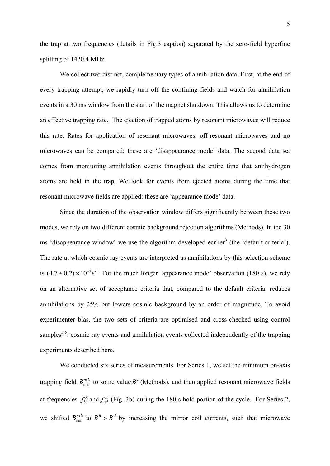the trap at two frequencies (details in Fig.3 caption) separated by the zero-field hyperfine splitting of 1420.4 MHz.

We collect two distinct, complementary types of annihilation data. First, at the end of every trapping attempt, we rapidly turn off the confining fields and watch for annihilation events in a 30 ms window from the start of the magnet shutdown. This allows us to determine an effective trapping rate. The ejection of trapped atoms by resonant microwaves will reduce this rate. Rates for application of resonant microwaves, off-resonant microwaves and no microwaves can be compared: these are 'disappearance mode' data. The second data set comes from monitoring annihilation events throughout the entire time that antihydrogen atoms are held in the trap. We look for events from ejected atoms during the time that resonant microwave fields are applied: these are 'appearance mode' data.

Since the duration of the observation window differs significantly between these two modes, we rely on two different cosmic background rejection algorithms (Methods). In the 30 ms 'disappearance window' we use the algorithm developed earlier<sup>3</sup> (the 'default criteria'). The rate at which cosmic ray events are interpreted as annihilations by this selection scheme is  $(4.7 \pm 0.2) \times 10^{-2}$  s<sup>-1</sup>. For the much longer 'appearance mode' observation (180 s), we rely on an alternative set of acceptance criteria that, compared to the default criteria, reduces annihilations by 25% but lowers cosmic background by an order of magnitude. To avoid experimenter bias, the two sets of criteria are optimised and cross-checked using control samples<sup>3,5</sup>: cosmic ray events and annihilation events collected independently of the trapping experiments described here.

We conducted six series of measurements. For Series 1, we set the minimum on-axis trapping field  $B_{\min}^{axis}$  to some value  $B^A$  (Methods), and then applied resonant microwave fields at frequencies  $f_{bc}^A$  and  $f_{ad}^A$  (Fig. 3b) during the 180 s hold portion of the cycle. For Series 2, we shifted  $B_{\min}^{axis}$  to  $B^B > B^A$  by increasing the mirror coil currents, such that microwave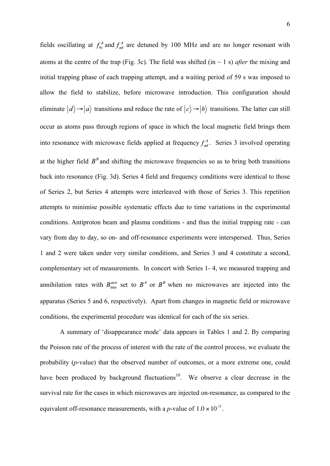fields oscillating at  $f_{bc}^A$  and  $f_{ad}^A$  are detuned by 100 MHz and are no longer resonant with atoms at the centre of the trap (Fig. 3c). The field was shifted (in  $\sim$  1 s) *after* the mixing and initial trapping phase of each trapping attempt, and a waiting period of 59 s was imposed to allow the field to stabilize, before microwave introduction. This configuration should eliminate  $|d\rangle \rightarrow |a\rangle$  transitions and reduce the rate of  $|c\rangle \rightarrow |b\rangle$  transitions. The latter can still occur as atoms pass through regions of space in which the local magnetic field brings them into resonance with microwave fields applied at frequency  $f_{ad}^A$ . Series 3 involved operating at the higher field  $B^B$  and shifting the microwave frequencies so as to bring both transitions back into resonance (Fig. 3d). Series 4 field and frequency conditions were identical to those of Series 2, but Series 4 attempts were interleaved with those of Series 3. This repetition attempts to minimise possible systematic effects due to time variations in the experimental conditions. Antiproton beam and plasma conditions - and thus the initial trapping rate - can vary from day to day, so on- and off-resonance experiments were interspersed. Thus, Series 1 and 2 were taken under very similar conditions, and Series 3 and 4 constitute a second, complementary set of measurements. In concert with Series 1- 4, we measured trapping and annihilation rates with  $B_{\min}^{axis}$  set to  $B^A$  or  $B^B$  when no microwaves are injected into the apparatus (Series 5 and 6, respectively). Apart from changes in magnetic field or microwave conditions, the experimental procedure was identical for each of the six series.

A summary of 'disappearance mode' data appears in Tables 1 and 2. By comparing the Poisson rate of the process of interest with the rate of the control process, we evaluate the probability (*p*-value) that the observed number of outcomes, or a more extreme one, could have been produced by background fluctuations<sup>10</sup>. We observe a clear decrease in the survival rate for the cases in which microwaves are injected on-resonance, as compared to the equivalent off-resonance measurements, with a *p*-value of  $1.0 \times 10^{-5}$ .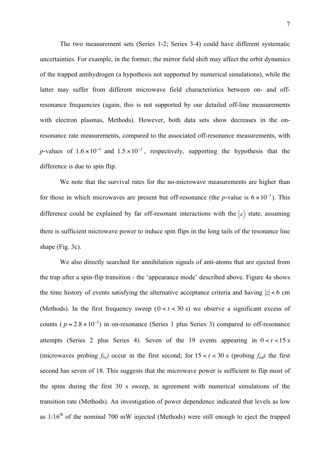The two measurement sets (Series 1-2; Series 3-4) could have different systematic uncertainties. For example, in the former, the mirror field shift may affect the orbit dynamics of the trapped antihydrogen (a hypothesis not supported by numerical simulations), while the latter may suffer from different microwave field characteristics between on- and offresonance frequencies (again, this is not supported by our detailed off-line measurements with electron plasmas, Methods). However, both data sets show decreases in the onresonance rate measurements, compared to the associated off-resonance measurements, with *p*-values of  $1.6 \times 10^{-4}$  and  $1.5 \times 10^{-2}$ , respectively, supporting the hypothesis that the difference is due to spin flip.

We note that the survival rates for the no-microwave measurements are higher than for those in which microwaves are present but off-resonance (the *p*-value is  $6 \times 10^{-3}$ ). This difference could be explained by far off-resonant interactions with the  $|c\rangle$  state, assuming there is sufficient microwave power to induce spin flips in the long tails of the resonance line shape (Fig. 3c).

We also directly searched for annihilation signals of anti-atoms that are ejected from the trap after a spin-flip transition - the 'appearance mode' described above. Figure 4a shows the time history of events satisfying the alternative acceptance criteria and having  $|z| < 6$  cm counts ( $p = 2.8 \times 10^{-5}$ ) in on-resonance (Series 1 plus Series 3) compared to off-resonance (Methods). In the first frequency sweep  $(0 < t < 30 \text{ s})$  we observe a significant excess of attempts (Series 2 plus Series 4). Seven of the 19 events appearing in  $0 < t < 15$  s (microwaves probing  $f_{bc}$ ) occur in the first second; for  $15 < t < 30$  s (probing  $f_{ad}$ ) the first second has seven of 18. This suggests that the microwave power is sufficient to flip most of the spins during the first 30 s sweep, in agreement with numerical simulations of the transition rate (Methods). An investigation of power dependence indicated that levels as low as  $1/16<sup>th</sup>$  of the nominal 700 mW injected (Methods) were still enough to eject the trapped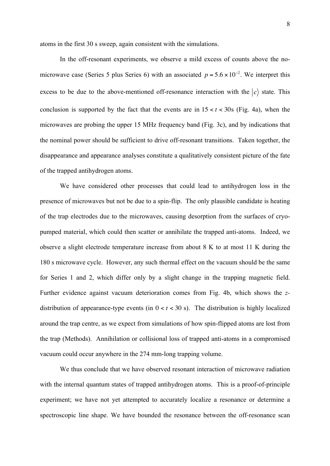atoms in the first 30 s sweep, again consistent with the simulations.

In the off-resonant experiments, we observe a mild excess of counts above the nomicrowave case (Series 5 plus Series 6) with an associated  $p = 5.6 \times 10^{-2}$ . We interpret this € excess to be due to the above-mentioned off-resonance interaction with the  $|c\rangle$  state. This conclusion is supported by the fact that the events are in  $15 < t < 30$ s (Fig. 4a), when the the nominal power should be sufficient to drive off-resonant transitions. Taken together, the microwaves are probing the upper 15 MHz frequency band (Fig. 3c), and by indications that disappearance and appearance analyses constitute a qualitatively consistent picture of the fate of the trapped antihydrogen atoms.

We have considered other processes that could lead to antihydrogen loss in the presence of microwaves but not be due to a spin-flip. The only plausible candidate is heating of the trap electrodes due to the microwaves, causing desorption from the surfaces of cryopumped material, which could then scatter or annihilate the trapped anti-atoms. Indeed, we observe a slight electrode temperature increase from about 8 K to at most 11 K during the 180 s microwave cycle. However, any such thermal effect on the vacuum should be the same for Series 1 and 2, which differ only by a slight change in the trapping magnetic field. Further evidence against vacuum deterioration comes from Fig. 4b, which shows the *z*distribution of appearance-type events (in  $0 < t < 30$  s). The distribution is highly localized the trap (Methods). Annihilation or collisional loss of trapped anti-atoms in a compromised around the trap centre, as we expect from simulations of how spin-flipped atoms are lost from vacuum could occur anywhere in the 274 mm-long trapping volume.

We thus conclude that we have observed resonant interaction of microwave radiation with the internal quantum states of trapped antihydrogen atoms. This is a proof-of-principle experiment; we have not yet attempted to accurately localize a resonance or determine a spectroscopic line shape. We have bounded the resonance between the off-resonance scan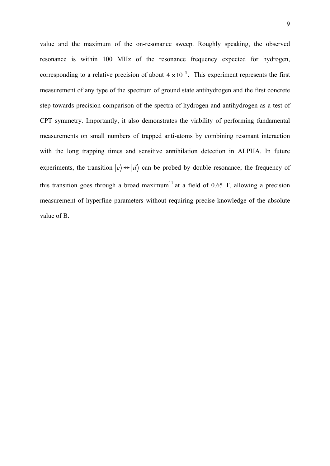value and the maximum of the on-resonance sweep. Roughly speaking, the observed resonance is within 100 MHz of the resonance frequency expected for hydrogen, corresponding to a relative precision of about  $4 \times 10^{-3}$ . This experiment represents the first step towards precision comparison of the spectra of hydrogen and antihydrogen as a test of measurement of any type of the spectrum of ground state antihydrogen and the first concrete CPT symmetry. Importantly, it also demonstrates the viability of performing fundamental measurements on small numbers of trapped anti-atoms by combining resonant interaction with the long trapping times and sensitive annihilation detection in ALPHA. In future experiments, the transition  $|c\rangle \leftrightarrow |d\rangle$  can be probed by double resonance; the frequency of this transition goes through a broad maximum<sup>11</sup> at a field of 0.65 T, allowing a precision measurement of hyperfine parameters without requiring precise knowledge of the absolute value of B.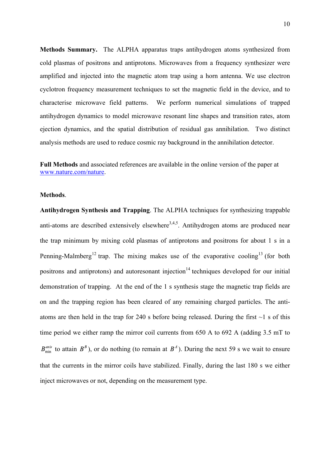**Methods Summary.** The ALPHA apparatus traps antihydrogen atoms synthesized from cold plasmas of positrons and antiprotons. Microwaves from a frequency synthesizer were amplified and injected into the magnetic atom trap using a horn antenna. We use electron cyclotron frequency measurement techniques to set the magnetic field in the device, and to characterise microwave field patterns. We perform numerical simulations of trapped antihydrogen dynamics to model microwave resonant line shapes and transition rates, atom ejection dynamics, and the spatial distribution of residual gas annihilation. Two distinct analysis methods are used to reduce cosmic ray background in the annihilation detector.

**Full Methods** and associated references are available in the online version of the paper at www.nature.com/nature.

## **Methods**.

**Antihydrogen Synthesis and Trapping**. The ALPHA techniques for synthesizing trappable anti-atoms are described extensively elsewhere $3,4,5$ . Antihydrogen atoms are produced near the trap minimum by mixing cold plasmas of antiprotons and positrons for about 1 s in a Penning-Malmberg<sup>12</sup> trap. The mixing makes use of the evaporative cooling<sup>13</sup> (for both positrons and antiprotons) and autoresonant injection<sup>14</sup> techniques developed for our initial demonstration of trapping. At the end of the 1 s synthesis stage the magnetic trap fields are on and the trapping region has been cleared of any remaining charged particles. The antiatoms are then held in the trap for 240 s before being released. During the first ~1 s of this time period we either ramp the mirror coil currents from 650 A to 692 A (adding 3.5 mT to  $B_{\min}^{axis}$  to attain  $B^B$ ), or do nothing (to remain at  $B^A$ ). During the next 59 s we wait to ensure that the currents in the mirror coils have stabilized. Finally, during the last 180 s we either inject microwaves or not, depending on the measurement type.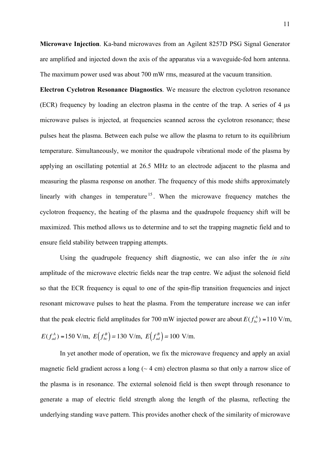**Microwave Injection**. Ka-band microwaves from an Agilent 8257D PSG Signal Generator are amplified and injected down the axis of the apparatus via a waveguide-fed horn antenna. The maximum power used was about 700 mW rms, measured at the vacuum transition.

**Electron Cyclotron Resonance Diagnostics**. We measure the electron cyclotron resonance (ECR) frequency by loading an electron plasma in the centre of the trap. A series of 4 µs microwave pulses is injected, at frequencies scanned across the cyclotron resonance; these pulses heat the plasma. Between each pulse we allow the plasma to return to its equilibrium temperature. Simultaneously, we monitor the quadrupole vibrational mode of the plasma by applying an oscillating potential at 26.5 MHz to an electrode adjacent to the plasma and measuring the plasma response on another. The frequency of this mode shifts approximately linearly with changes in temperature  $15$ . When the microwave frequency matches the cyclotron frequency, the heating of the plasma and the quadrupole frequency shift will be maximized. This method allows us to determine and to set the trapping magnetic field and to ensure field stability between trapping attempts.

Using the quadrupole frequency shift diagnostic, we can also infer the *in situ*  amplitude of the microwave electric fields near the trap centre. We adjust the solenoid field so that the ECR frequency is equal to one of the spin-flip transition frequencies and inject resonant microwave pulses to heat the plasma. From the temperature increase we can infer that the peak electric field amplitudes for 700 mW injected power are about  $E(f_{bc}^A)$  = 110 V/m,  $E(f_{ad}^A) = 150 \text{ V/m}, E(f_{bc}^B) = 130 \text{ V/m}, E(f_{ad}^B) = 100 \text{ V/m}.$ 

magnetic field gradient across a long ( $\sim$  4 cm) electron plasma so that only a narrow slice of In yet another mode of operation, we fix the microwave frequency and apply an axial the plasma is in resonance. The external solenoid field is then swept through resonance to generate a map of electric field strength along the length of the plasma, reflecting the underlying standing wave pattern. This provides another check of the similarity of microwave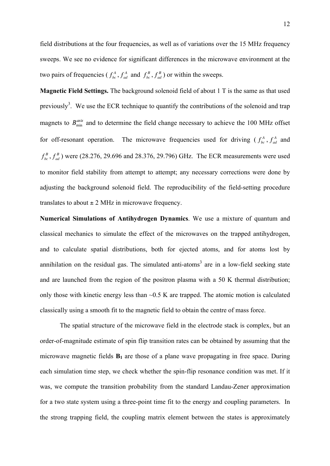field distributions at the four frequencies, as well as of variations over the 15 MHz frequency sweeps. We see no evidence for significant differences in the microwave environment at the two pairs of frequencies ( $f_{bc}^A$ ,  $f_{ad}^A$  and  $f_{bc}^B$ ,  $f_{ad}^B$ ) or within the sweeps.

previously<sup>3</sup>. We use the ECR technique to quantify the contributions of the solenoid and trap **Magnetic Field Settings.** The background solenoid field of about 1 T is the same as that used magnets to  $B_{\min}^{axis}$  and to determine the field change necessary to achieve the 100 MHz offset for off-resonant operation. The microwave frequencies used for driving  $(f_{bc}^A, f_{ad}^A$  and to monitor field stability from attempt to attempt; any necessary corrections were done by  $f_{bc}^{B}$ ,  $f_{ad}^{B}$ ) were (28.276, 29.696 and 28.376, 29.796) GHz. The ECR measurements were used adjusting the background solenoid field. The reproducibility of the field-setting procedure translates to about  $\pm 2$  MHz in microwave frequency.

**Numerical Simulations of Antihydrogen Dynamics**. We use a mixture of quantum and classical mechanics to simulate the effect of the microwaves on the trapped antihydrogen, and to calculate spatial distributions, both for ejected atoms, and for atoms lost by annihilation on the residual gas. The simulated anti-atoms<sup>3</sup> are in a low-field seeking state and are launched from the region of the positron plasma with a 50 K thermal distribution; only those with kinetic energy less than  $\sim 0.5$  K are trapped. The atomic motion is calculated classically using a smooth fit to the magnetic field to obtain the centre of mass force.

The spatial structure of the microwave field in the electrode stack is complex, but an order-of-magnitude estimate of spin flip transition rates can be obtained by assuming that the microwave magnetic fields  $B_1$  are those of a plane wave propagating in free space. During each simulation time step, we check whether the spin-flip resonance condition was met. If it was, we compute the transition probability from the standard Landau-Zener approximation for a two state system using a three-point time fit to the energy and coupling parameters. In the strong trapping field, the coupling matrix element between the states is approximately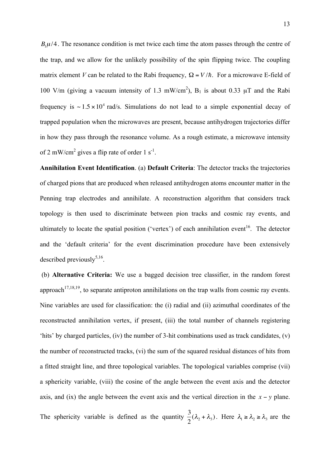$B_1\mu/4$ . The resonance condition is met twice each time the atom passes through the centre of the trap, and we allow for the unlikely possibility of the spin flipping twice. The coupling matrix element *V* can be related to the Rabi frequency,  $\Omega = V/\hbar$ . For a microwave E-field of frequency is  $\sim 1.5 \times 10^4$  rad/s. Simulations do not lead to a simple exponential decay of 100 V/m (giving a vacuum intensity of 1.3 mW/cm<sup>2</sup>), B<sub>1</sub> is about 0.33  $\mu$ T and the Rabi in how they pass through the resonance volume. As a rough estimate, a microwave intensity trapped population when the microwaves are present, because antihydrogen trajectories differ of 2 mW/cm<sup>2</sup> gives a flip rate of order  $1 \text{ s}^{-1}$ .

**Annihilation Event Identification**. (a) **Default Criteria**: The detector tracks the trajectories of charged pions that are produced when released antihydrogen atoms encounter matter in the Penning trap electrodes and annihilate. A reconstruction algorithm that considers track topology is then used to discriminate between pion tracks and cosmic ray events, and ultimately to locate the spatial position ('vertex') of each annihilation event<sup>16</sup>. The detector and the 'default criteria' for the event discrimination procedure have been extensively described previously<sup>5,16</sup>.

 (b) **Alternative Criteria:** We use a bagged decision tree classifier, in the random forest approach<sup>17,18,19</sup>, to separate antiproton annihilations on the trap walls from cosmic ray events. Nine variables are used for classification: the (i) radial and (ii) azimuthal coordinates of the reconstructed annihilation vertex, if present, (iii) the total number of channels registering 'hits' by charged particles, (iv) the number of 3-hit combinations used as track candidates, (v) the number of reconstructed tracks, (vi) the sum of the squared residual distances of hits from a fitted straight line, and three topological variables. The topological variables comprise (vii) a sphericity variable, (viii) the cosine of the angle between the event axis and the detector axis, and (ix) the angle between the event axis and the vertical direction in the  $x - y$  plane. The sphericity variable is defined as the quantity  $\frac{3}{2}$  $\frac{1}{2}(\lambda_2 + \lambda_3)$ . Here  $\lambda_1 \ge \lambda_2 \ge \lambda_3$  are the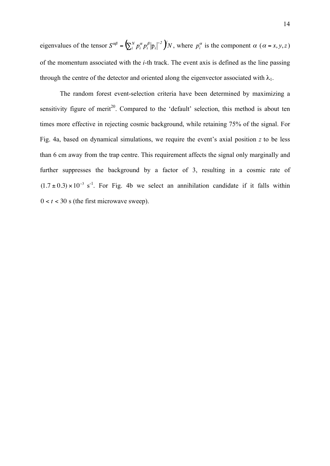eigenvalues of the tensor  $S^{\alpha\beta} = \sum_{i}^{N} p_i^{\alpha} p_i^{\beta} |p_i|^{-2} \sum N$ , where  $p_i^{\alpha}$  is the component  $\alpha$  ( $\alpha = x, y, z$ ) of the momentum associated with the *i*-th track. The event axis is defined as the line passing through the centre of the detector and oriented along the eigenvector associated with  $\lambda_1$ .

The random forest event-selection criteria have been determined by maximizing a sensitivity figure of merit<sup>20</sup>. Compared to the 'default' selection, this method is about ten times more effective in rejecting cosmic background, while retaining 75% of the signal. For Fig. 4a, based on dynamical simulations, we require the event's axial position *z* to be less than 6 cm away from the trap centre. This requirement affects the signal only marginally and further suppresses the background by a factor of 3, resulting in a cosmic rate of  $(1.7 \pm 0.3) \times 10^{-3}$  s<sup>-1</sup>. For Fig. 4b we select an annihilation candidate if it falls within  $0 < t < 30$  s (the first microwave sweep).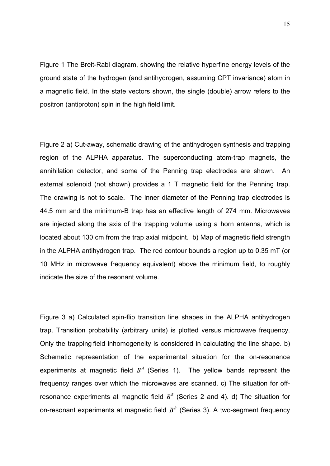Figure 1 The Breit-Rabi diagram, showing the relative hyperfine energy levels of the ground state of the hydrogen (and antihydrogen, assuming CPT invariance) atom in a magnetic field. In the state vectors shown, the single (double) arrow refers to the positron (antiproton) spin in the high field limit.

Figure 2 a) Cut-away, schematic drawing of the antihydrogen synthesis and trapping region of the ALPHA apparatus. The superconducting atom-trap magnets, the annihilation detector, and some of the Penning trap electrodes are shown. An external solenoid (not shown) provides a 1 T magnetic field for the Penning trap. The drawing is not to scale. The inner diameter of the Penning trap electrodes is 44.5 mm and the minimum-B trap has an effective length of 274 mm. Microwaves are injected along the axis of the trapping volume using a horn antenna, which is located about 130 cm from the trap axial midpoint. b) Map of magnetic field strength in the ALPHA antihydrogen trap. The red contour bounds a region up to 0.35 mT (or 10 MHz in microwave frequency equivalent) above the minimum field, to roughly indicate the size of the resonant volume.

Figure 3 a) Calculated spin-flip transition line shapes in the ALPHA antihydrogen trap. Transition probability (arbitrary units) is plotted versus microwave frequency. Only the trapping field inhomogeneity is considered in calculating the line shape. b) Schematic representation of the experimental situation for the on-resonance experiments at magnetic field  $B<sup>A</sup>$  (Series 1). The yellow bands represent the frequency ranges over which the microwaves are scanned. c) The situation for offresonance experiments at magnetic field  $B^B$  (Series 2 and 4). d) The situation for on-resonant experiments at magnetic field  $B^B$  (Series 3). A two-segment frequency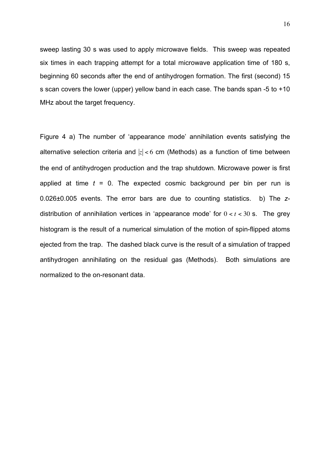sweep lasting 30 s was used to apply microwave fields. This sweep was repeated six times in each trapping attempt for a total microwave application time of 180 s, beginning 60 seconds after the end of antihydrogen formation. The first (second) 15 s scan covers the lower (upper) yellow band in each case. The bands span -5 to +10 MHz about the target frequency.

Figure 4 a) The number of 'appearance mode' annihilation events satisfying the alternative selection criteria and  $|z| < 6$  cm (Methods) as a function of time between applied at time  $t = 0$ . The expected cosmic background per bin per run is the end of antihydrogen production and the trap shutdown. Microwave power is first 0.026±0.005 events. The error bars are due to counting statistics. b) The *z*distribution of annihilation vertices in 'appearance mode' for 0 < *t* < 30 s. The grey ejected from the trap. The dashed black curve is the result of a simulation of trapped histogram is the result of a numerical simulation of the motion of spin-flipped atoms antihydrogen annihilating on the residual gas (Methods). Both simulations are normalized to the on-resonant data.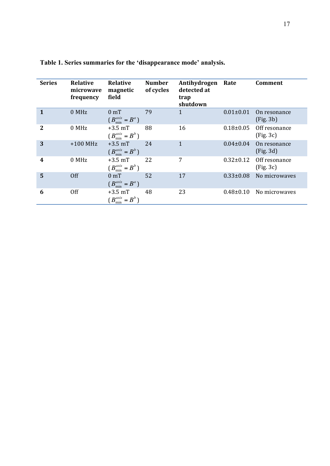| <b>Series</b> | <b>Relative</b><br>microwave<br>frequency | Relative<br>magnetic<br>field                | <b>Number</b><br>of cycles | Antihydrogen<br>detected at<br>trap<br>shutdown | Rate            | <b>Comment</b>             |
|---------------|-------------------------------------------|----------------------------------------------|----------------------------|-------------------------------------------------|-----------------|----------------------------|
| $\mathbf{1}$  | 0 MHz                                     | 0 <sub>mT</sub><br>$(B_{\min}^{axis} = B^a)$ | 79                         | 1                                               | $0.01 \pm 0.01$ | On resonance<br>(Fig. 3b)  |
| $\mathbf{2}$  | 0 MHz                                     | $+3.5$ mT<br>$(B_{\min}^{axis} = B^b)$       | 88                         | 16                                              | $0.18 \pm 0.05$ | Off resonance<br>(Fig. 3c) |
| 3             | $+100$ MHz                                | $+3.5$ mT<br>$(B_{\min}^{axis} = B^b)$       | 24                         | $\mathbf{1}$                                    | $0.04 \pm 0.04$ | On resonance<br>(Fig. 3d)  |
| 4             | 0 MHz                                     | $+3.5$ mT<br>$(B_{\min}^{axis} = B^b)$       | 22                         | 7                                               | $0.32 \pm 0.12$ | Off resonance<br>(Fig. 3c) |
| 5             | Off                                       | 0 <sub>mT</sub><br>$(B_{\min}^{axis} = B^a)$ | 52                         | 17                                              | $0.33 \pm 0.08$ | No microwayes              |
| 6             | Off                                       | $+3.5$ mT<br>$(B_{\min}^{axis} = B^b)$       | 48                         | 23                                              | $0.48 \pm 0.10$ | No microwaves              |

| Table 1. Series summaries for the 'disappearance mode' analysis. |  |  |
|------------------------------------------------------------------|--|--|
|------------------------------------------------------------------|--|--|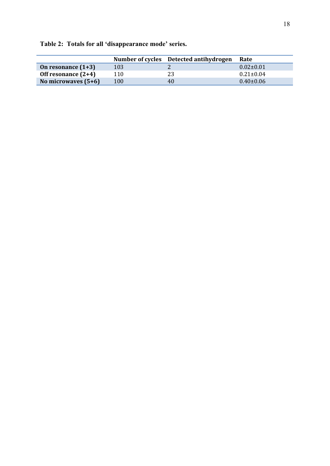|                       |     | Number of cycles Detected antihydrogen | Rate            |
|-----------------------|-----|----------------------------------------|-----------------|
| On resonance $(1+3)$  | 103 |                                        | $0.02 \pm 0.01$ |
| Off resonance $(2+4)$ | 110 | 23                                     | $0.21 \pm 0.04$ |
| No microwaves $(5+6)$ | 100 | 40                                     | $0.40 \pm 0.06$ |

**Table 2: Totals for all 'disappearance mode' series.**

l,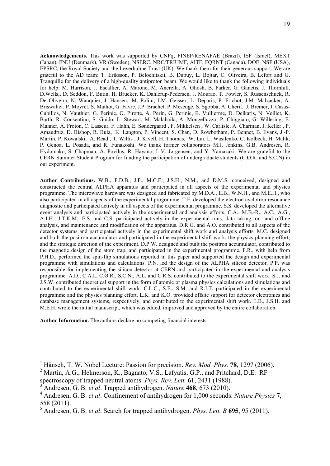19

**Acknowledgements.** This work was supported by CNPq, FINEP/RENAFAE (Brazil), ISF (Israel), MEXT (Japan), FNU (Denmark), VR (Sweden), NSERC, NRC/TRIUMF, AITF, FQRNT (Canada), DOE, NSF (USA), EPSRC, the Royal Society and the Leverhulme Trust (UK). We thank them for their generous support. We are grateful to the AD team: T. Eriksson, P. Belochitskii, B. Dupuy, L. Bojtar, C. Oliveira, B. Lefort and G. Tranquille for the delivery of a high-quality antiproton beam. We would like to thank the following individuals for help: M. Harrison, J. Escallier, A. Marone, M. Anerella, A. Ghosh, B. Parker, G. Ganetis, J. Thornhill, D.Wells,, D. Seddon, F. Butin, H. Brueker, K. Dahlerup-Pedersen, J. Mourao, T. Fowler, S. Russenschuck, R. De Oliveira, N. Wauquier, J. Hansen, M. Polini, J.M. Geisser, L. Deparis, P. Frichot, J.M. Malzacker, A. Briswalter, P. Moyret, S. Mathot, G. Favre, J.P. Brachet, P. Mésenge, S. Sgobba, A. Cherif, J. Bremer, J. Casas-Cubillos, N. Vauthier, G. Perinic, O. Pirotte, A. Perin, G. Perinic, B. Vullierme, D. Delkaris, N. Veillet, K. Barth, R. Consentino, S. Guido, L. Stewart, M. Malabaila, A. Mongelluzzo, P. Chiggiato, G. Willering, E. Mahner, A. Froton, C. Lasseur, F. Hahn, E. Søndergaard , F. Mikkelsen , W. Carlisle, A. Charman, J. Keller , P. Amaudruz, D. Bishop, R. Bula, K. Langton, P. Vincent, S. Chan, D. Rowbotham, P. Bennet, B. Evans, J.-P. Martin, P. Kowalski, A. Read , T. Willis , J. Kivell, H. Thomas, W. Lai, L. Wasilenko, C. Kolbeck, H. Malik, P. Genoa, L. Posada, and R. Funakoshi. We thank former collaborators M.J. Jenkins, G.B. Andresen, R. Hydomako, S. Chapman, A. Povilus, R. Hayano, L.V. Jørgensen, and Y. Yamazaki. We are grateful to the CERN Summer Student Program for funding the participation of undergraduate students (C.Ø.R. and S.C.N) in our experiment.

**Author Contributions.** W.B., P.D.B., J.F., M.C.F., J.S.H., N.M., and D.M.S. conceived, designed and constructed the central ALPHA apparatus and participated in all aspects of the experimental and physics programme. The microwave hardware was designed and fabricated by M.D.A., E.B., W.N.H., and M.E.H., who also participated in all aspects of the experimental programme. T.F. developed the electron cyclotron resonance diagnostic and participated actively in all aspects of the experimental programme. S.S. developed the alternative event analysis and participated actively in the experimental and analysis efforts. C.A., M.B.-R., A.C., A.G., A.J.H., J.T.K.M., E.S. and C.S. participated actively in the experimental runs, data taking, on- and offline analysis, and maintenance and modification of the apparatus. D.R.G. and A.O. contributed to all aspects of the detector systems and participated actively in the experimental shift work and analysis efforts. M.C. designed and built the positron accumulator and participated in the experimental shift work, the physics planning effort, and the strategic direction of the experiment. D.P.W. designed and built the positron accumulator, contributed to the magnetic design of the atom trap, and participated in the experimental programme. F.R., with help from P.H.D., performed the spin-flip simulations reported in this paper and supported the design and experimental programme with simulations and calculations. P.N. led the design of the ALPHA silicon detector. P.P. was responsible for implementing the silicon detector at CERN and participated in the experimental and analysis programme. A.D., C.A.I., C.Ø.R., S.C.N., A.L. and C.R.S. contributed to the experimental shift work. S.J. and J.S.W. contributed theoretical support in the form of atomic or plasma physics calculations and simulations and contributed to the experimental shift work. C.L.C., S.E., S.M. and R.I.T. participated in the experimental programme and the physics planning effort. L.K. and K.O. provided offsite support for detector electronics and database management systems, respectively, and contributed to the experimental shift work. E.B., J.S.H. and M.E.H. wrote the initial manuscript, which was edited, improved and approved by the entire collaboration.

**Author Information.** The authors declare no competing financial interests.

 $\frac{1}{1}$ Hänsch, T. W. Nobel Lecture: Passion for precision. *Rev. Mod. Phys.* **78**, 1297 (2006).

<sup>&</sup>lt;sup>2</sup> Martin, A.G., Helmerson, K., Bagnato, V.S., Lafyatis, G.P., and Pritchard, D.E. RF spectroscopy of trapped neutral atoms. *Phys. Rev. Lett.* **61**, 2431 (1988).

<sup>3</sup> Andresen, G. B. *et al*. Trapped antihydrogen. *Nature* **468**, 673 (2010).

<sup>4</sup> Andresen, G. B. *et al*. Confinement of antihydrogen for 1,000 seconds. *Nature Physics* **7**, 558 (2011).

<sup>5</sup> Andresen, G. B. *et al*. Search for trapped antihydrogen. *Phys. Lett. B* **695**, 95 (2011).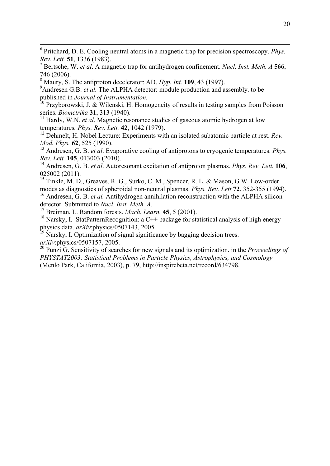6 Pritchard, D. E. Cooling neutral atoms in a magnetic trap for precision spectroscopy. *Phys. Rev. Lett.* **51**, 1336 (1983).

7 Bertsche, W. *et al*. A magnetic trap for antihydrogen confinement. *Nucl. Inst. Meth. A* **566**, 746 (2006).

8 Maury, S. The antiproton decelerator: AD. *Hyp. Int.* **109**, 43 (1997).

<sup>9</sup> Andresen G.B. *et al.* The ALPHA detector: module production and assembly. to be published in *Journal of Instrumentation*.<br><sup>10</sup> Przyborowski, J. & Wilenski, H. Homogeneity of results in testing samples from Poisson

series. *Biometrika* **31**, 313 (1940).

<sup>11</sup> Hardy, W.N. *et al.* Magnetic resonance studies of gaseous atomic hydrogen at low temperatures. *Phys. Rev. Lett.* **42**, 1042 (1979).

<sup>12</sup> Dehmelt, H. Nobel Lecture: Experiments with an isolated subatomic particle at rest. *Rev. Mod. Phys.* **62**, 525 (1990).

<sup>13</sup> Andresen, G. B. *et al.* Evaporative cooling of antiprotons to cryogenic temperatures. *Phys. Rev. Lett.* **105**, 013003 (2010).

14 Andresen, G. B. *et al*. Autoresonant excitation of antiproton plasmas. *Phys. Rev. Lett.* **106**, 025002 (2011).

<sup>15</sup> Tinkle, M. D., Greaves, R. G., Surko, C. M., Spencer, R. L. & Mason, G.W. Low-order modes as diagnostics of spheroidal non-neutral plasmas. *Phys. Rev. Lett* **72**, 352-355 (1994). <sup>16</sup> Andresen, G. B. *et al.* Antihydrogen annihilation reconstruction with the ALPHA silicon detector. Submitted to *Nucl. Inst. Meth. A*. 17 Breiman, L. Random forests. *Mach. Learn.* **<sup>45</sup>**, 5 (2001).

<sup>18</sup> Narsky, I. StatPatternRecognition: a C<sup>++</sup> package for statistical analysis of high energy physics data. *arXiv*:physics/0507143, 2005.<br><sup>19</sup> Narsky, I. Optimization of signal significance by bagging decision trees.

*arXiv*:physics/0507157, 2005. 20 Punzi G. Sensitivity of searches for new signals and its optimization. in the *Proceedings of* 

*PHYSTAT2003: Statistical Problems in Particle Physics, Astrophysics, and Cosmology* (Menlo Park, California, 2003), p. 79, http://inspirebeta.net/record/634798.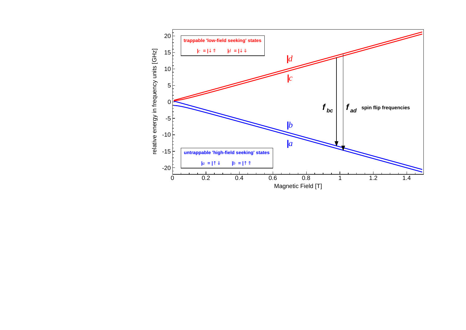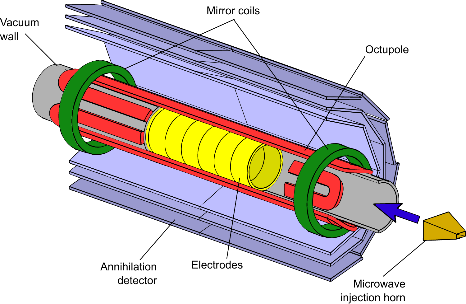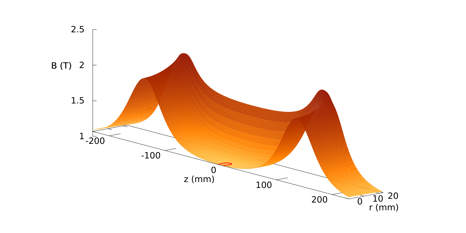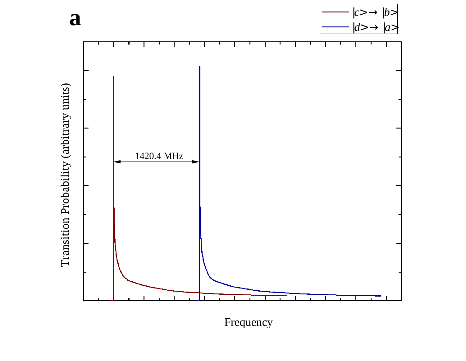

**a**

 $|c \rangle \rightarrow |b \rangle$ 

Freq uency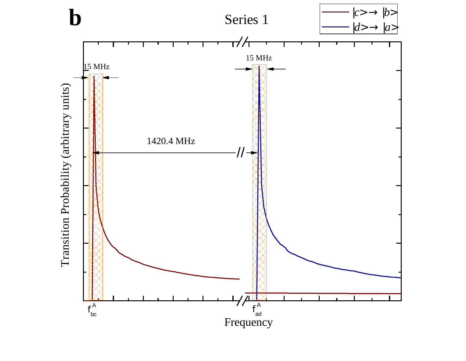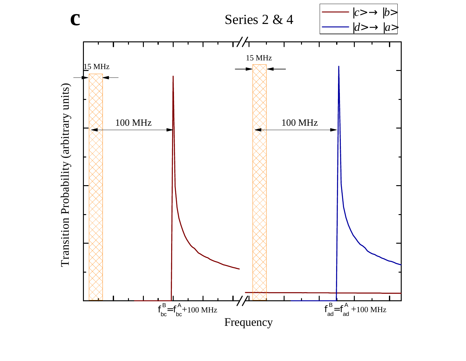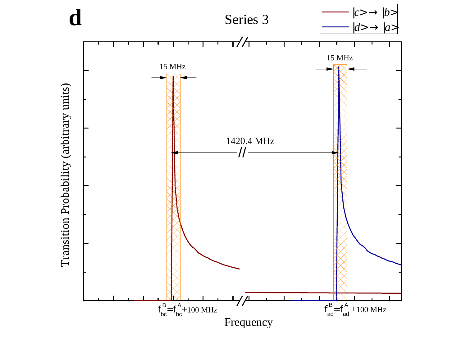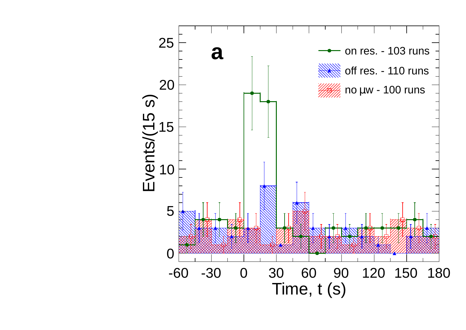